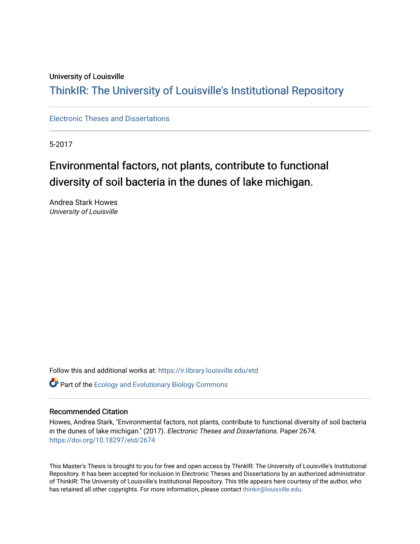#### University of Louisville

## ThinkIR: The Univ[ersity of Louisville's Institutional Reposit](https://ir.library.louisville.edu/)ory

[Electronic Theses and Dissertations](https://ir.library.louisville.edu/etd)

5-2017

## Environmental factors, not plants, contribute to functional diversity of soil bacteria in the dunes of lake michigan.

Andrea Stark Howes University of Louisville

Follow this and additional works at: [https://ir.library.louisville.edu/etd](https://ir.library.louisville.edu/etd?utm_source=ir.library.louisville.edu%2Fetd%2F2674&utm_medium=PDF&utm_campaign=PDFCoverPages)  **Part of the [Ecology and Evolutionary Biology Commons](http://network.bepress.com/hgg/discipline/14?utm_source=ir.library.louisville.edu%2Fetd%2F2674&utm_medium=PDF&utm_campaign=PDFCoverPages)** 

#### Recommended Citation

Howes, Andrea Stark, "Environmental factors, not plants, contribute to functional diversity of soil bacteria in the dunes of lake michigan." (2017). Electronic Theses and Dissertations. Paper 2674. <https://doi.org/10.18297/etd/2674>

This Master's Thesis is brought to you for free and open access by ThinkIR: The University of Louisville's Institutional Repository. It has been accepted for inclusion in Electronic Theses and Dissertations by an authorized administrator of ThinkIR: The University of Louisville's Institutional Repository. This title appears here courtesy of the author, who has retained all other copyrights. For more information, please contact [thinkir@louisville.edu](mailto:thinkir@louisville.edu).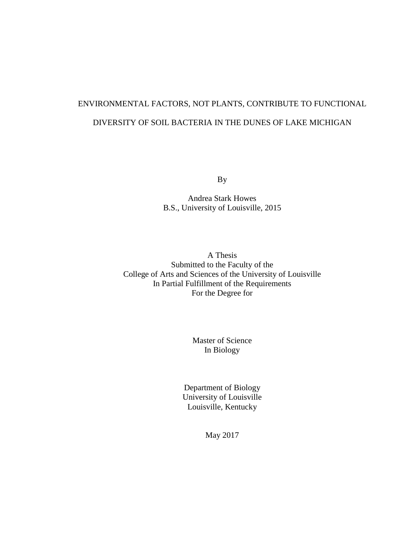## ENVIRONMENTAL FACTORS, NOT PLANTS, CONTRIBUTE TO FUNCTIONAL DIVERSITY OF SOIL BACTERIA IN THE DUNES OF LAKE MICHIGAN

By

Andrea Stark Howes B.S., University of Louisville, 2015

A Thesis Submitted to the Faculty of the College of Arts and Sciences of the University of Louisville In Partial Fulfillment of the Requirements For the Degree for

> Master of Science In Biology

Department of Biology University of Louisville Louisville, Kentucky

May 2017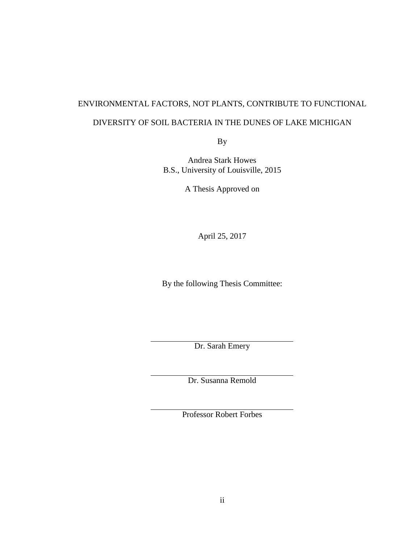### ENVIRONMENTAL FACTORS, NOT PLANTS, CONTRIBUTE TO FUNCTIONAL

#### DIVERSITY OF SOIL BACTERIA IN THE DUNES OF LAKE MICHIGAN

By

Andrea Stark Howes B.S., University of Louisville, 2015

A Thesis Approved on

April 25, 2017

By the following Thesis Committee:

Dr. Sarah Emery

Dr. Susanna Remold

Professor Robert Forbes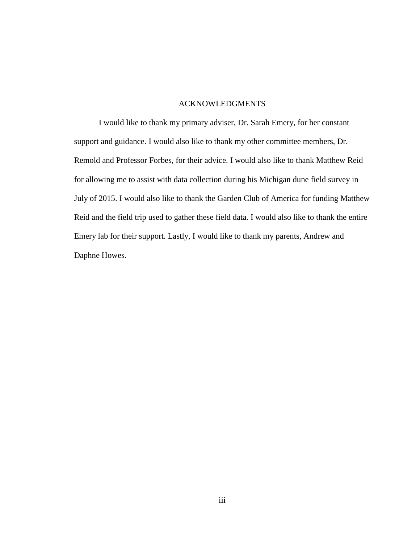#### ACKNOWLEDGMENTS

I would like to thank my primary adviser, Dr. Sarah Emery, for her constant support and guidance. I would also like to thank my other committee members, Dr. Remold and Professor Forbes, for their advice. I would also like to thank Matthew Reid for allowing me to assist with data collection during his Michigan dune field survey in July of 2015. I would also like to thank the Garden Club of America for funding Matthew Reid and the field trip used to gather these field data. I would also like to thank the entire Emery lab for their support. Lastly, I would like to thank my parents, Andrew and Daphne Howes.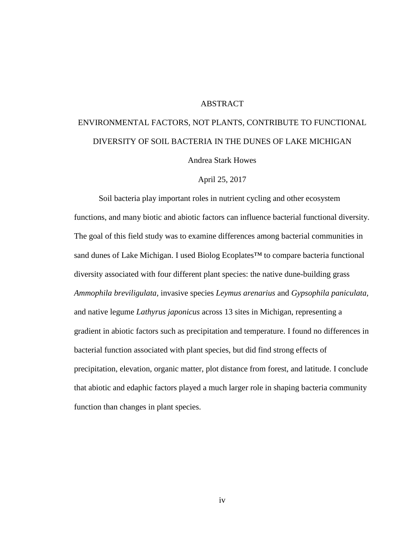#### **ABSTRACT**

# ENVIRONMENTAL FACTORS, NOT PLANTS, CONTRIBUTE TO FUNCTIONAL DIVERSITY OF SOIL BACTERIA IN THE DUNES OF LAKE MICHIGAN

Andrea Stark Howes

#### April 25, 2017

Soil bacteria play important roles in nutrient cycling and other ecosystem functions, and many biotic and abiotic factors can influence bacterial functional diversity. The goal of this field study was to examine differences among bacterial communities in sand dunes of Lake Michigan. I used Biolog Ecoplates<sup>™</sup> to compare bacteria functional diversity associated with four different plant species: the native dune-building grass *Ammophila breviligulata,* invasive species *Leymus arenarius* and *Gypsophila paniculata,* and native legume *Lathyrus japonicus* across 13 sites in Michigan, representing a gradient in abiotic factors such as precipitation and temperature. I found no differences in bacterial function associated with plant species, but did find strong effects of precipitation, elevation, organic matter, plot distance from forest, and latitude. I conclude that abiotic and edaphic factors played a much larger role in shaping bacteria community function than changes in plant species.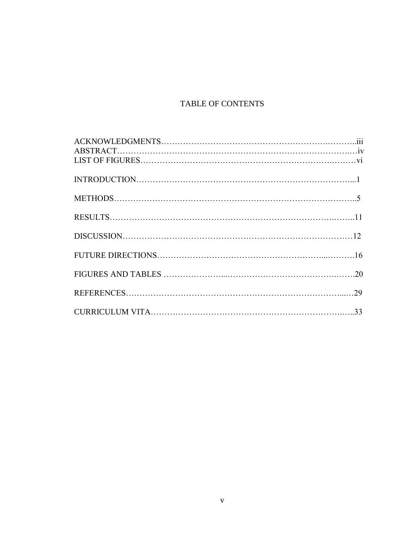## TABLE OF CONTENTS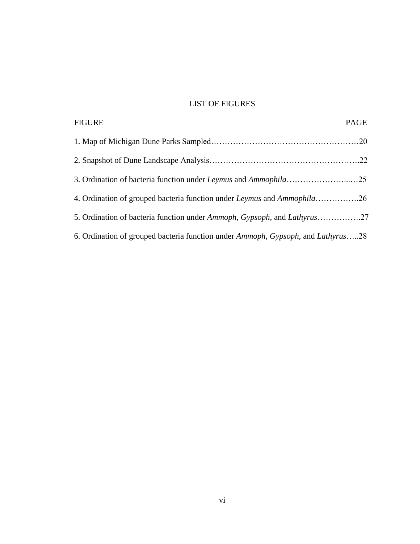## LIST OF FIGURES

| <b>FIGURE</b>                                                                                            | PAGE |
|----------------------------------------------------------------------------------------------------------|------|
|                                                                                                          |      |
|                                                                                                          |      |
|                                                                                                          |      |
| 4. Ordination of grouped bacteria function under Leymus and Ammophila26                                  |      |
| 5. Ordination of bacteria function under Ammoph, Gypsoph, and Lathyrus27                                 |      |
| 6. Ordination of grouped bacteria function under <i>Ammoph</i> , <i>Gypsoph</i> , and <i>Lathyrus</i> 28 |      |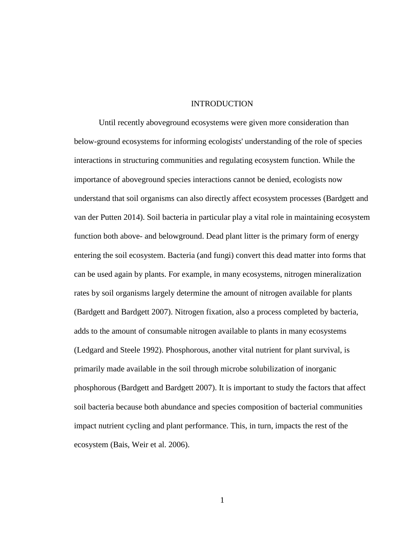#### **INTRODUCTION**

Until recently aboveground ecosystems were given more consideration than below-ground ecosystems for informing ecologists' understanding of the role of species interactions in structuring communities and regulating ecosystem function. While the importance of aboveground species interactions cannot be denied, ecologists now understand that soil organisms can also directly affect ecosystem processes (Bardgett and van der Putten 2014). Soil bacteria in particular play a vital role in maintaining ecosystem function both above- and belowground. Dead plant litter is the primary form of energy entering the soil ecosystem. Bacteria (and fungi) convert this dead matter into forms that can be used again by plants. For example, in many ecosystems, nitrogen mineralization rates by soil organisms largely determine the amount of nitrogen available for plants (Bardgett and Bardgett 2007). Nitrogen fixation, also a process completed by bacteria, adds to the amount of consumable nitrogen available to plants in many ecosystems (Ledgard and Steele 1992). Phosphorous, another vital nutrient for plant survival, is primarily made available in the soil through microbe solubilization of inorganic phosphorous (Bardgett and Bardgett 2007). It is important to study the factors that affect soil bacteria because both abundance and species composition of bacterial communities impact nutrient cycling and plant performance. This, in turn, impacts the rest of the ecosystem (Bais, Weir et al. 2006).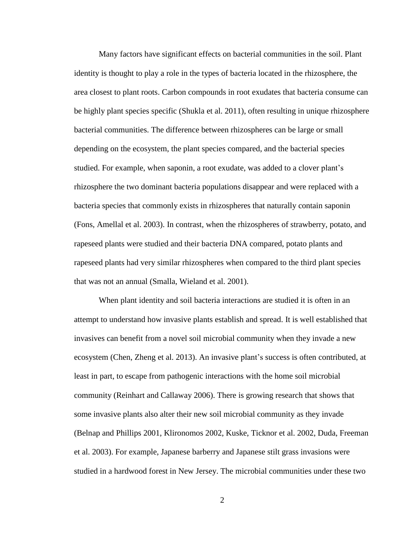Many factors have significant effects on bacterial communities in the soil. Plant identity is thought to play a role in the types of bacteria located in the rhizosphere, the area closest to plant roots. Carbon compounds in root exudates that bacteria consume can be highly plant species specific (Shukla et al. 2011), often resulting in unique rhizosphere bacterial communities. The difference between rhizospheres can be large or small depending on the ecosystem, the plant species compared, and the bacterial species studied. For example, when saponin, a root exudate, was added to a clover plant's rhizosphere the two dominant bacteria populations disappear and were replaced with a bacteria species that commonly exists in rhizospheres that naturally contain saponin (Fons, Amellal et al. 2003). In contrast, when the rhizospheres of strawberry, potato, and rapeseed plants were studied and their bacteria DNA compared, potato plants and rapeseed plants had very similar rhizospheres when compared to the third plant species that was not an annual (Smalla, Wieland et al. 2001).

When plant identity and soil bacteria interactions are studied it is often in an attempt to understand how invasive plants establish and spread. It is well established that invasives can benefit from a novel soil microbial community when they invade a new ecosystem (Chen, Zheng et al. 2013). An invasive plant's success is often contributed, at least in part, to escape from pathogenic interactions with the home soil microbial community (Reinhart and Callaway 2006). There is growing research that shows that some invasive plants also alter their new soil microbial community as they invade (Belnap and Phillips 2001, Klironomos 2002, Kuske, Ticknor et al. 2002, Duda, Freeman et al. 2003). For example, Japanese barberry and Japanese stilt grass invasions were studied in a hardwood forest in New Jersey. The microbial communities under these two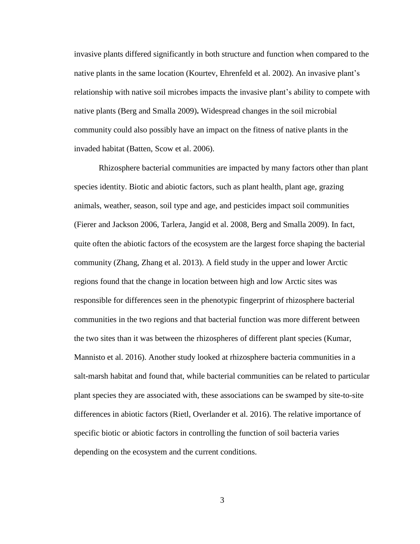invasive plants differed significantly in both structure and function when compared to the native plants in the same location (Kourtev, Ehrenfeld et al. 2002). An invasive plant's relationship with native soil microbes impacts the invasive plant's ability to compete with native plants (Berg and Smalla 2009)**.** Widespread changes in the soil microbial community could also possibly have an impact on the fitness of native plants in the invaded habitat (Batten, Scow et al. 2006).

Rhizosphere bacterial communities are impacted by many factors other than plant species identity. Biotic and abiotic factors, such as plant health, plant age, grazing animals, weather, season, soil type and age, and pesticides impact soil communities (Fierer and Jackson 2006, Tarlera, Jangid et al. 2008, Berg and Smalla 2009). In fact, quite often the abiotic factors of the ecosystem are the largest force shaping the bacterial community (Zhang, Zhang et al. 2013). A field study in the upper and lower Arctic regions found that the change in location between high and low Arctic sites was responsible for differences seen in the phenotypic fingerprint of rhizosphere bacterial communities in the two regions and that bacterial function was more different between the two sites than it was between the rhizospheres of different plant species (Kumar, Mannisto et al. 2016). Another study looked at rhizosphere bacteria communities in a salt-marsh habitat and found that, while bacterial communities can be related to particular plant species they are associated with, these associations can be swamped by site-to-site differences in abiotic factors (Rietl, Overlander et al. 2016). The relative importance of specific biotic or abiotic factors in controlling the function of soil bacteria varies depending on the ecosystem and the current conditions.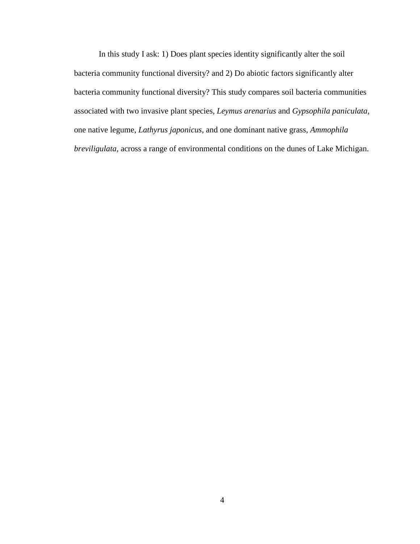In this study I ask: 1) Does plant species identity significantly alter the soil bacteria community functional diversity? and 2) Do abiotic factors significantly alter bacteria community functional diversity? This study compares soil bacteria communities associated with two invasive plant species, *Leymus arenarius* and *Gypsophila paniculata*, one native legume, *Lathyrus japonicus*, and one dominant native grass, *Ammophila breviligulata*, across a range of environmental conditions on the dunes of Lake Michigan.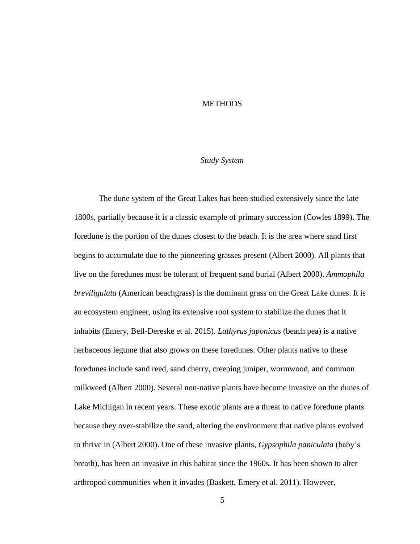#### **METHODS**

#### *Study System*

The dune system of the Great Lakes has been studied extensively since the late 1800s, partially because it is a classic example of primary succession (Cowles 1899). The foredune is the portion of the dunes closest to the beach. It is the area where sand first begins to accumulate due to the pioneering grasses present (Albert 2000). All plants that live on the foredunes must be tolerant of frequent sand burial (Albert 2000). *Ammophila breviligulata* (American beachgrass) is the dominant grass on the Great Lake dunes. It is an ecosystem engineer, using its extensive root system to stabilize the dunes that it inhabits (Emery, Bell-Dereske et al. 2015). *Lathyrus japonicus* (beach pea) is a native herbaceous legume that also grows on these foredunes. Other plants native to these foredunes include sand reed, sand cherry, creeping juniper, wormwood, and common milkweed (Albert 2000). Several non-native plants have become invasive on the dunes of Lake Michigan in recent years. These exotic plants are a threat to native foredune plants because they over-stabilize the sand, altering the environment that native plants evolved to thrive in (Albert 2000). One of these invasive plants, *Gypsophila paniculata* (baby's breath)*,* has been an invasive in this habitat since the 1960s. It has been shown to alter arthropod communities when it invades (Baskett, Emery et al. 2011). However,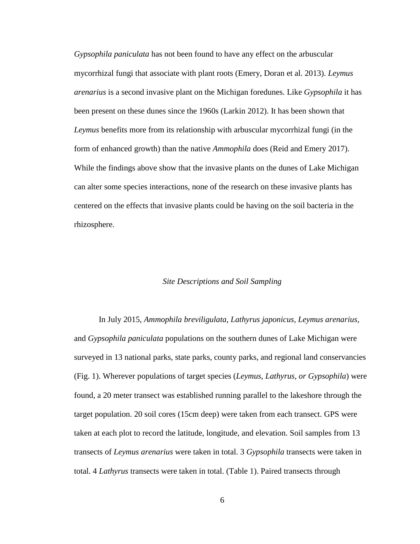*Gypsophila paniculata* has not been found to have any effect on the arbuscular mycorrhizal fungi that associate with plant roots (Emery, Doran et al. 2013). *Leymus arenarius* is a second invasive plant on the Michigan foredunes. Like *Gypsophila* it has been present on these dunes since the 1960s (Larkin 2012). It has been shown that *Leymus* benefits more from its relationship with arbuscular mycorrhizal fungi (in the form of enhanced growth) than the native *Ammophila* does (Reid and Emery 2017). While the findings above show that the invasive plants on the dunes of Lake Michigan can alter some species interactions, none of the research on these invasive plants has centered on the effects that invasive plants could be having on the soil bacteria in the rhizosphere.

#### *Site Descriptions and Soil Sampling*

In July 2015, *Ammophila breviligulata, Lathyrus japonicus, Leymus arenarius*, and *Gypsophila paniculata* populations on the southern dunes of Lake Michigan were surveyed in 13 national parks, state parks, county parks, and regional land conservancies (Fig. 1). Wherever populations of target species (*Leymus, Lathyrus, or Gypsophila*) were found, a 20 meter transect was established running parallel to the lakeshore through the target population. 20 soil cores (15cm deep) were taken from each transect. GPS were taken at each plot to record the latitude, longitude, and elevation. Soil samples from 13 transects of *Leymus arenarius* were taken in total. 3 *Gypsophila* transects were taken in total. 4 *Lathyrus* transects were taken in total. (Table 1). Paired transects through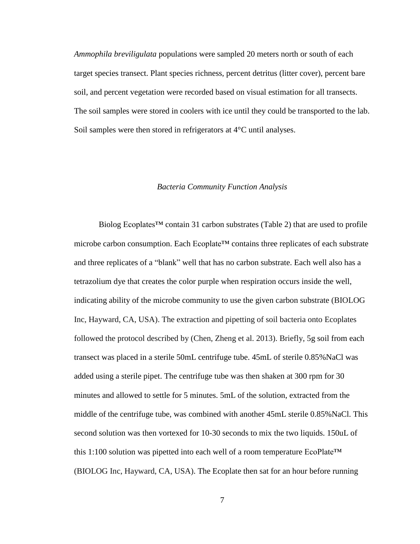*Ammophila breviligulata* populations were sampled 20 meters north or south of each target species transect. Plant species richness, percent detritus (litter cover), percent bare soil, and percent vegetation were recorded based on visual estimation for all transects. The soil samples were stored in coolers with ice until they could be transported to the lab. Soil samples were then stored in refrigerators at 4<sup>o</sup>C until analyses.

#### *Bacteria Community Function Analysis*

Biolog Ecoplates™ contain 31 carbon substrates (Table 2) that are used to profile microbe carbon consumption. Each Ecoplate<sup>™</sup> contains three replicates of each substrate and three replicates of a "blank" well that has no carbon substrate. Each well also has a tetrazolium dye that creates the color purple when respiration occurs inside the well, indicating ability of the microbe community to use the given carbon substrate (BIOLOG Inc, Hayward, CA, USA). The extraction and pipetting of soil bacteria onto Ecoplates followed the protocol described by (Chen, Zheng et al. 2013). Briefly, 5g soil from each transect was placed in a sterile 50mL centrifuge tube. 45mL of sterile 0.85%NaCl was added using a sterile pipet. The centrifuge tube was then shaken at 300 rpm for 30 minutes and allowed to settle for 5 minutes. 5mL of the solution, extracted from the middle of the centrifuge tube, was combined with another 45mL sterile 0.85%NaCl. This second solution was then vortexed for 10-30 seconds to mix the two liquids. 150uL of this 1:100 solution was pipetted into each well of a room temperature EcoPlate™ (BIOLOG Inc, Hayward, CA, USA). The Ecoplate then sat for an hour before running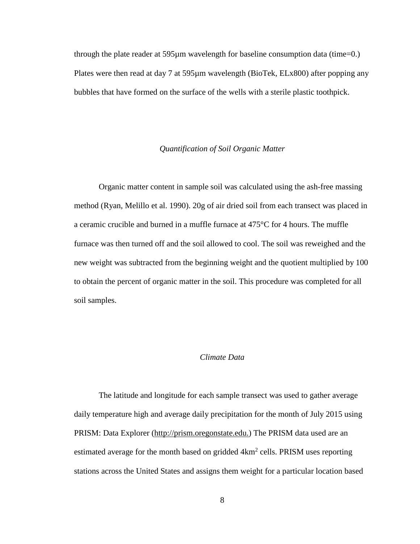through the plate reader at 595µm wavelength for baseline consumption data (time=0.) Plates were then read at day 7 at 595µm wavelength (BioTek, ELx800) after popping any bubbles that have formed on the surface of the wells with a sterile plastic toothpick.

#### *Quantification of Soil Organic Matter*

Organic matter content in sample soil was calculated using the ash-free massing method (Ryan, Melillo et al. 1990). 20g of air dried soil from each transect was placed in a ceramic crucible and burned in a muffle furnace at 475°C for 4 hours. The muffle furnace was then turned off and the soil allowed to cool. The soil was reweighed and the new weight was subtracted from the beginning weight and the quotient multiplied by 100 to obtain the percent of organic matter in the soil. This procedure was completed for all soil samples.

#### *Climate Data*

The latitude and longitude for each sample transect was used to gather average daily temperature high and average daily precipitation for the month of July 2015 using PRISM: Data Explorer [\(http://pris](http://pri/)m.oregonstate.edu.) The PRISM data used are an estimated average for the month based on gridded  $4 \text{km}^2$  cells. PRISM uses reporting stations across the United States and assigns them weight for a particular location based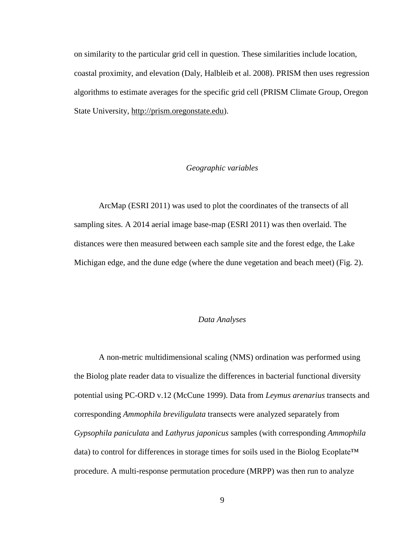on similarity to the particular grid cell in question. These similarities include location, coastal proximity, and elevation (Daly, Halbleib et al. 2008). PRISM then uses regression algorithms to estimate averages for the specific grid cell (PRISM Climate Group, Oregon State University, [http://prism.oregonstate.edu\)](http://prism.oregonstate.edu/).

#### *Geographic variables*

ArcMap (ESRI 2011) was used to plot the coordinates of the transects of all sampling sites. A 2014 aerial image base-map (ESRI 2011) was then overlaid. The distances were then measured between each sample site and the forest edge, the Lake Michigan edge, and the dune edge (where the dune vegetation and beach meet) (Fig. 2).

#### *Data Analyses*

A non-metric multidimensional scaling (NMS) ordination was performed using the Biolog plate reader data to visualize the differences in bacterial functional diversity potential using PC-ORD v.12 (McCune 1999). Data from *Leymus arenarius* transects and corresponding *Ammophila breviligulata* transects were analyzed separately from *Gypsophila paniculata* and *Lathyrus japonicus* samples (with corresponding *Ammophila* data) to control for differences in storage times for soils used in the Biolog Ecoplate™ procedure. A multi-response permutation procedure (MRPP) was then run to analyze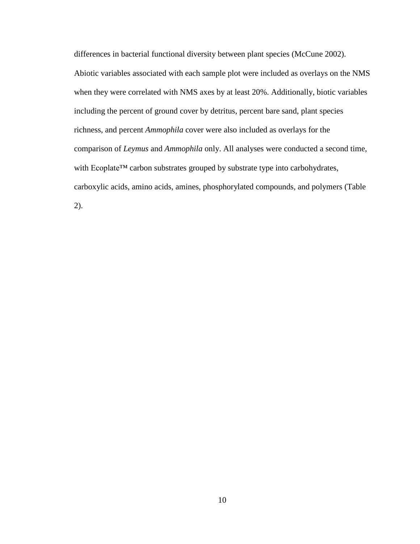differences in bacterial functional diversity between plant species (McCune 2002). Abiotic variables associated with each sample plot were included as overlays on the NMS when they were correlated with NMS axes by at least 20%. Additionally, biotic variables including the percent of ground cover by detritus, percent bare sand, plant species richness, and percent *Ammophila* cover were also included as overlays for the comparison of *Leymus* and *Ammophila* only. All analyses were conducted a second time, with Ecoplate™ carbon substrates grouped by substrate type into carbohydrates, carboxylic acids, amino acids, amines, phosphorylated compounds, and polymers (Table 2).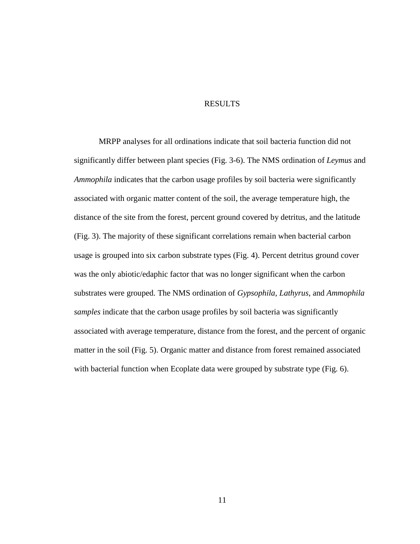#### RESULTS

MRPP analyses for all ordinations indicate that soil bacteria function did not significantly differ between plant species (Fig. 3-6). The NMS ordination of *Leymus* and *Ammophila* indicates that the carbon usage profiles by soil bacteria were significantly associated with organic matter content of the soil, the average temperature high, the distance of the site from the forest, percent ground covered by detritus, and the latitude (Fig. 3). The majority of these significant correlations remain when bacterial carbon usage is grouped into six carbon substrate types (Fig. 4). Percent detritus ground cover was the only abiotic/edaphic factor that was no longer significant when the carbon substrates were grouped. The NMS ordination of *Gypsophila*, *Lathyrus*, and *Ammophila samples* indicate that the carbon usage profiles by soil bacteria was significantly associated with average temperature, distance from the forest, and the percent of organic matter in the soil (Fig. 5). Organic matter and distance from forest remained associated with bacterial function when Ecoplate data were grouped by substrate type (Fig. 6).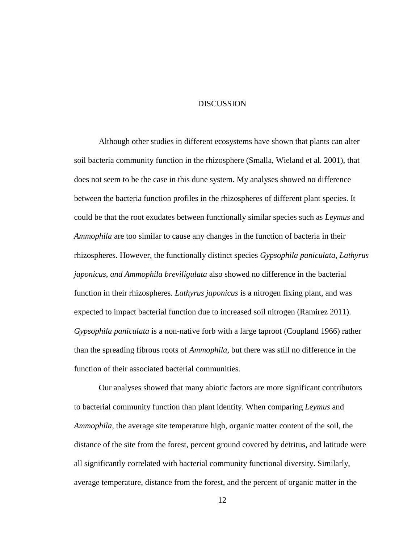#### **DISCUSSION**

Although other studies in different ecosystems have shown that plants can alter soil bacteria community function in the rhizosphere (Smalla, Wieland et al. 2001), that does not seem to be the case in this dune system. My analyses showed no difference between the bacteria function profiles in the rhizospheres of different plant species. It could be that the root exudates between functionally similar species such as *Leymus* and *Ammophila* are too similar to cause any changes in the function of bacteria in their rhizospheres. However, the functionally distinct species *Gypsophila paniculata, Lathyrus japonicus, and Ammophila breviligulata* also showed no difference in the bacterial function in their rhizospheres. *Lathyrus japonicus* is a nitrogen fixing plant, and was expected to impact bacterial function due to increased soil nitrogen (Ramirez 2011). *Gypsophila paniculata* is a non-native forb with a large taproot (Coupland 1966) rather than the spreading fibrous roots of *Ammophila*, but there was still no difference in the function of their associated bacterial communities.

Our analyses showed that many abiotic factors are more significant contributors to bacterial community function than plant identity. When comparing *Leymus* and *Ammophila*, the average site temperature high, organic matter content of the soil, the distance of the site from the forest, percent ground covered by detritus, and latitude were all significantly correlated with bacterial community functional diversity. Similarly, average temperature, distance from the forest, and the percent of organic matter in the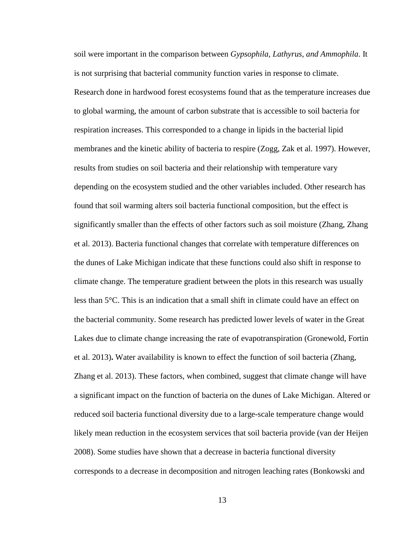soil were important in the comparison between *Gypsophila, Lathyrus, and Ammophila*. It is not surprising that bacterial community function varies in response to climate. Research done in hardwood forest ecosystems found that as the temperature increases due to global warming, the amount of carbon substrate that is accessible to soil bacteria for respiration increases. This corresponded to a change in lipids in the bacterial lipid membranes and the kinetic ability of bacteria to respire (Zogg, Zak et al. 1997). However, results from studies on soil bacteria and their relationship with temperature vary depending on the ecosystem studied and the other variables included. Other research has found that soil warming alters soil bacteria functional composition, but the effect is significantly smaller than the effects of other factors such as soil moisture (Zhang, Zhang et al. 2013). Bacteria functional changes that correlate with temperature differences on the dunes of Lake Michigan indicate that these functions could also shift in response to climate change. The temperature gradient between the plots in this research was usually less than 5°C. This is an indication that a small shift in climate could have an effect on the bacterial community. Some research has predicted lower levels of water in the Great Lakes due to climate change increasing the rate of evapotranspiration (Gronewold, Fortin et al. 2013)**.** Water availability is known to effect the function of soil bacteria (Zhang, Zhang et al. 2013). These factors, when combined, suggest that climate change will have a significant impact on the function of bacteria on the dunes of Lake Michigan. Altered or reduced soil bacteria functional diversity due to a large-scale temperature change would likely mean reduction in the ecosystem services that soil bacteria provide (van der Heijen 2008). Some studies have shown that a decrease in bacteria functional diversity corresponds to a decrease in decomposition and nitrogen leaching rates (Bonkowski and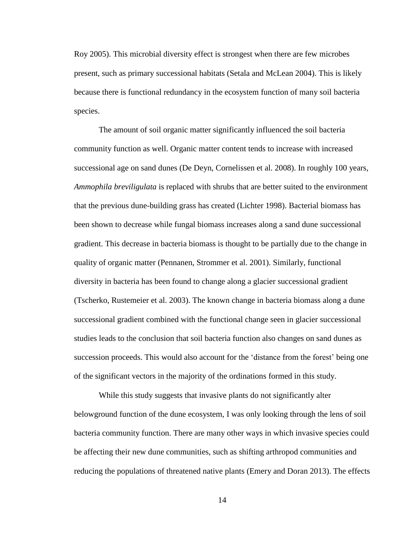Roy 2005). This microbial diversity effect is strongest when there are few microbes present, such as primary successional habitats (Setala and McLean 2004). This is likely because there is functional redundancy in the ecosystem function of many soil bacteria species.

The amount of soil organic matter significantly influenced the soil bacteria community function as well. Organic matter content tends to increase with increased successional age on sand dunes (De Deyn, Cornelissen et al. 2008). In roughly 100 years, *Ammophila breviligulata* is replaced with shrubs that are better suited to the environment that the previous dune-building grass has created (Lichter 1998). Bacterial biomass has been shown to decrease while fungal biomass increases along a sand dune successional gradient. This decrease in bacteria biomass is thought to be partially due to the change in quality of organic matter (Pennanen, Strommer et al. 2001). Similarly, functional diversity in bacteria has been found to change along a glacier successional gradient (Tscherko, Rustemeier et al. 2003). The known change in bacteria biomass along a dune successional gradient combined with the functional change seen in glacier successional studies leads to the conclusion that soil bacteria function also changes on sand dunes as succession proceeds. This would also account for the 'distance from the forest' being one of the significant vectors in the majority of the ordinations formed in this study.

While this study suggests that invasive plants do not significantly alter belowground function of the dune ecosystem, I was only looking through the lens of soil bacteria community function. There are many other ways in which invasive species could be affecting their new dune communities, such as shifting arthropod communities and reducing the populations of threatened native plants (Emery and Doran 2013). The effects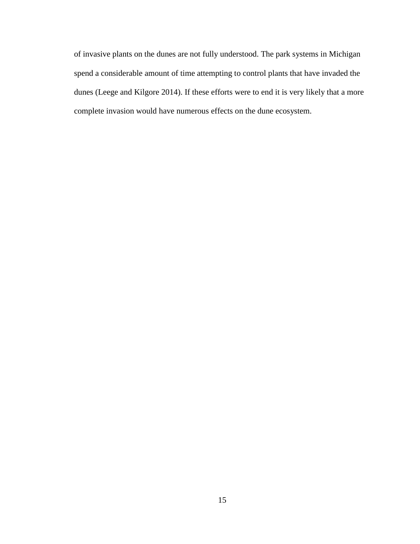of invasive plants on the dunes are not fully understood. The park systems in Michigan spend a considerable amount of time attempting to control plants that have invaded the dunes (Leege and Kilgore 2014). If these efforts were to end it is very likely that a more complete invasion would have numerous effects on the dune ecosystem.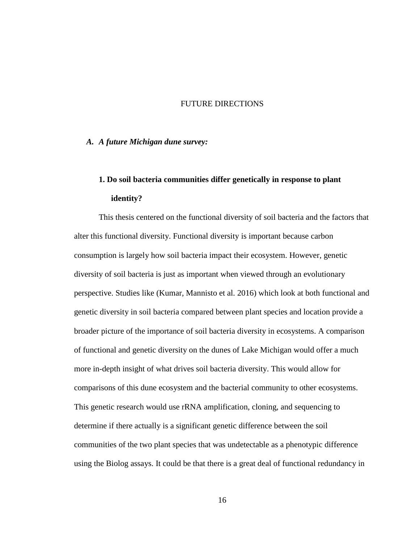#### FUTURE DIRECTIONS

#### *A. A future Michigan dune survey:*

## **1. Do soil bacteria communities differ genetically in response to plant identity?**

This thesis centered on the functional diversity of soil bacteria and the factors that alter this functional diversity. Functional diversity is important because carbon consumption is largely how soil bacteria impact their ecosystem. However, genetic diversity of soil bacteria is just as important when viewed through an evolutionary perspective. Studies like (Kumar, Mannisto et al. 2016) which look at both functional and genetic diversity in soil bacteria compared between plant species and location provide a broader picture of the importance of soil bacteria diversity in ecosystems. A comparison of functional and genetic diversity on the dunes of Lake Michigan would offer a much more in-depth insight of what drives soil bacteria diversity. This would allow for comparisons of this dune ecosystem and the bacterial community to other ecosystems. This genetic research would use rRNA amplification, cloning, and sequencing to determine if there actually is a significant genetic difference between the soil communities of the two plant species that was undetectable as a phenotypic difference using the Biolog assays. It could be that there is a great deal of functional redundancy in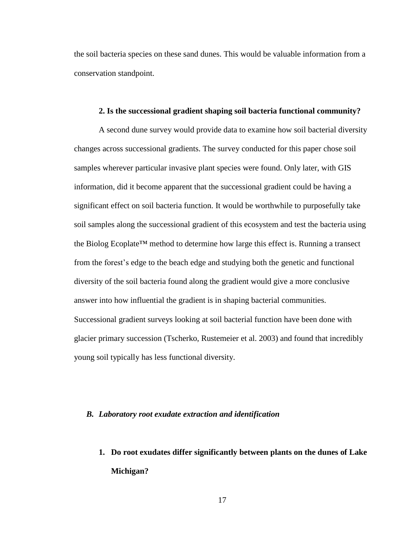the soil bacteria species on these sand dunes. This would be valuable information from a conservation standpoint.

#### **2. Is the successional gradient shaping soil bacteria functional community?**

A second dune survey would provide data to examine how soil bacterial diversity changes across successional gradients. The survey conducted for this paper chose soil samples wherever particular invasive plant species were found. Only later, with GIS information, did it become apparent that the successional gradient could be having a significant effect on soil bacteria function. It would be worthwhile to purposefully take soil samples along the successional gradient of this ecosystem and test the bacteria using the Biolog Ecoplate™ method to determine how large this effect is. Running a transect from the forest's edge to the beach edge and studying both the genetic and functional diversity of the soil bacteria found along the gradient would give a more conclusive answer into how influential the gradient is in shaping bacterial communities. Successional gradient surveys looking at soil bacterial function have been done with glacier primary succession (Tscherko, Rustemeier et al. 2003) and found that incredibly young soil typically has less functional diversity.

#### *B. Laboratory root exudate extraction and identification*

**1. Do root exudates differ significantly between plants on the dunes of Lake Michigan?**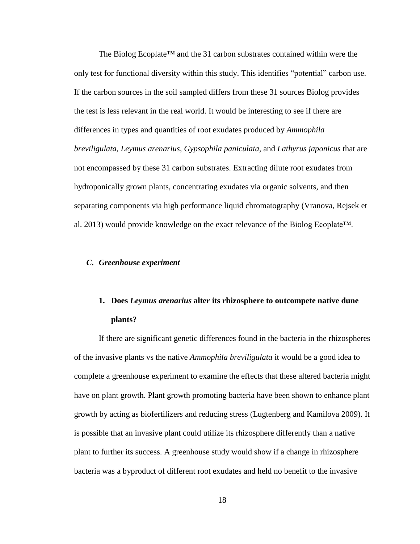The Biolog Ecoplate™ and the 31 carbon substrates contained within were the only test for functional diversity within this study. This identifies "potential" carbon use. If the carbon sources in the soil sampled differs from these 31 sources Biolog provides the test is less relevant in the real world. It would be interesting to see if there are differences in types and quantities of root exudates produced by *Ammophila breviligulata, Leymus arenarius, Gypsophila paniculata,* and *Lathyrus japonicus* that are not encompassed by these 31 carbon substrates. Extracting dilute root exudates from hydroponically grown plants, concentrating exudates via organic solvents, and then separating components via high performance liquid chromatography (Vranova, Rejsek et al. 2013) would provide knowledge on the exact relevance of the Biolog Ecoplate™.

#### *C. Greenhouse experiment*

## **1. Does** *Leymus arenarius* **alter its rhizosphere to outcompete native dune plants?**

If there are significant genetic differences found in the bacteria in the rhizospheres of the invasive plants vs the native *Ammophila breviligulata* it would be a good idea to complete a greenhouse experiment to examine the effects that these altered bacteria might have on plant growth. Plant growth promoting bacteria have been shown to enhance plant growth by acting as biofertilizers and reducing stress (Lugtenberg and Kamilova 2009). It is possible that an invasive plant could utilize its rhizosphere differently than a native plant to further its success. A greenhouse study would show if a change in rhizosphere bacteria was a byproduct of different root exudates and held no benefit to the invasive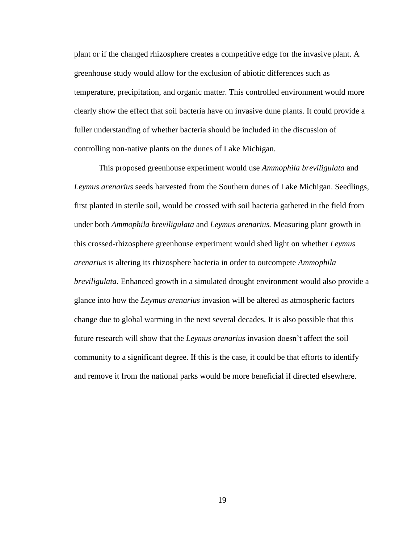plant or if the changed rhizosphere creates a competitive edge for the invasive plant. A greenhouse study would allow for the exclusion of abiotic differences such as temperature, precipitation, and organic matter. This controlled environment would more clearly show the effect that soil bacteria have on invasive dune plants. It could provide a fuller understanding of whether bacteria should be included in the discussion of controlling non-native plants on the dunes of Lake Michigan.

This proposed greenhouse experiment would use *Ammophila breviligulata* and *Leymus arenarius* seeds harvested from the Southern dunes of Lake Michigan. Seedlings, first planted in sterile soil, would be crossed with soil bacteria gathered in the field from under both *Ammophila breviligulata* and *Leymus arenarius.* Measuring plant growth in this crossed-rhizosphere greenhouse experiment would shed light on whether *Leymus arenarius* is altering its rhizosphere bacteria in order to outcompete *Ammophila breviligulata*. Enhanced growth in a simulated drought environment would also provide a glance into how the *Leymus arenarius* invasion will be altered as atmospheric factors change due to global warming in the next several decades. It is also possible that this future research will show that the *Leymus arenarius* invasion doesn't affect the soil community to a significant degree. If this is the case, it could be that efforts to identify and remove it from the national parks would be more beneficial if directed elsewhere.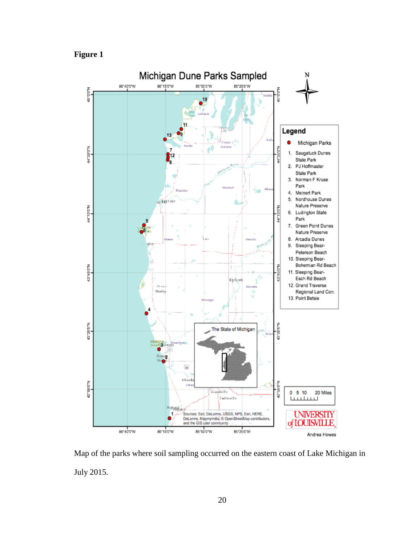**Figure 1**



Map of the parks where soil sampling occurred on the eastern coast of Lake Michigan in July 2015.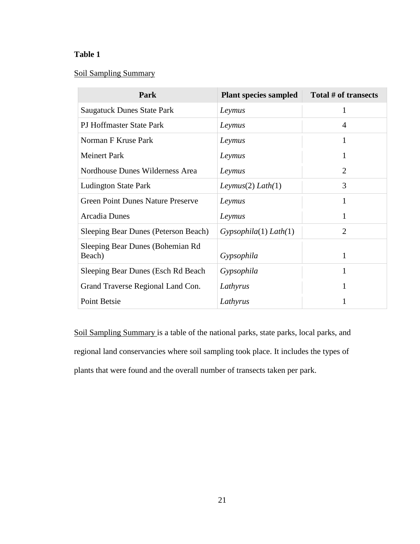## **Table 1**

### Soil Sampling Summary

| Park                                        | <b>Plant species sampled</b> | Total # of transects |
|---------------------------------------------|------------------------------|----------------------|
| <b>Saugatuck Dunes State Park</b>           | Leymus                       | 1                    |
| PJ Hoffmaster State Park                    | Leymus                       | 4                    |
| Norman F Kruse Park                         | Leymus                       | 1                    |
| <b>Meinert Park</b>                         | Leymus                       | 1                    |
| Nordhouse Dunes Wilderness Area             | Leymus                       | $\overline{2}$       |
| <b>Ludington State Park</b>                 | Leymus(2) Lath(1)            | 3                    |
| <b>Green Point Dunes Nature Preserve</b>    | Leymus                       | 1                    |
| <b>Arcadia Dunes</b>                        | Leymus                       | 1                    |
| <b>Sleeping Bear Dunes (Peterson Beach)</b> | Gypsophila(1) Lath(1)        | $\overline{2}$       |
| Sleeping Bear Dunes (Bohemian Rd<br>Beach)  | Gypsophila                   | 1                    |
| Sleeping Bear Dunes (Esch Rd Beach)         | Gypsophila                   | 1                    |
| Grand Traverse Regional Land Con.           | Lathyrus                     | 1                    |
| Point Betsie                                | Lathyrus                     |                      |

Soil Sampling Summary is a table of the national parks, state parks, local parks, and regional land conservancies where soil sampling took place. It includes the types of plants that were found and the overall number of transects taken per park.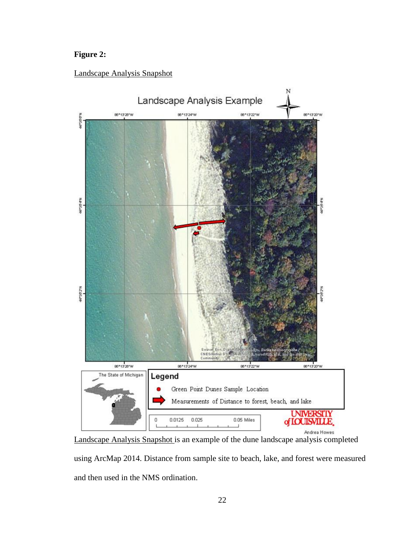## **Figure 2:**

### Landscape Analysis Snapshot



Landscape Analysis Snapshot is an example of the dune landscape analysis completed using ArcMap 2014. Distance from sample site to beach, lake, and forest were measured and then used in the NMS ordination.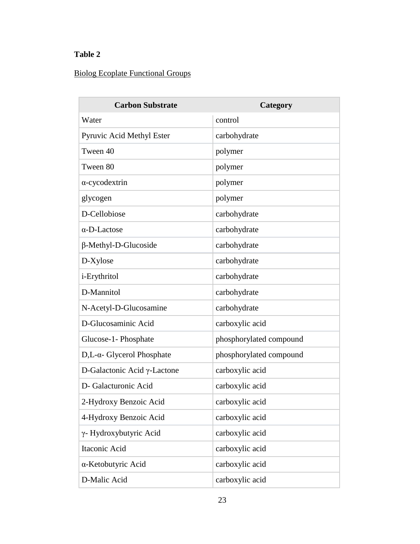## **Table 2**

 $\overline{a}$ 

## Biolog Ecoplate Functional Groups

| <b>Carbon Substrate</b>               | Category                |
|---------------------------------------|-------------------------|
| Water                                 | control                 |
| Pyruvic Acid Methyl Ester             | carbohydrate            |
| Tween 40                              | polymer                 |
| Tween 80                              | polymer                 |
| $\alpha$ -cycodextrin                 | polymer                 |
| glycogen                              | polymer                 |
| D-Cellobiose                          | carbohydrate            |
| $\alpha$ -D-Lactose                   | carbohydrate            |
| $\beta$ -Methyl-D-Glucoside           | carbohydrate            |
| D-Xylose                              | carbohydrate            |
| <i>i</i> -Erythritol                  | carbohydrate            |
| D-Mannitol                            | carbohydrate            |
| N-Acetyl-D-Glucosamine                | carbohydrate            |
| D-Glucosaminic Acid                   | carboxylic acid         |
| Glucose-1- Phosphate                  | phosphorylated compound |
| $D,L$ - $\alpha$ - Glycerol Phosphate | phosphorylated compound |
| D-Galactonic Acid $\gamma$ -Lactone   | carboxylic acid         |
| D- Galacturonic Acid                  | carboxylic acid         |
| 2-Hydroxy Benzoic Acid                | carboxylic acid         |
| 4-Hydroxy Benzoic Acid                | carboxylic acid         |
| γ- Hydroxybutyric Acid                | carboxylic acid         |
| Itaconic Acid                         | carboxylic acid         |
| α-Ketobutyric Acid                    | carboxylic acid         |
| D-Malic Acid                          | carboxylic acid         |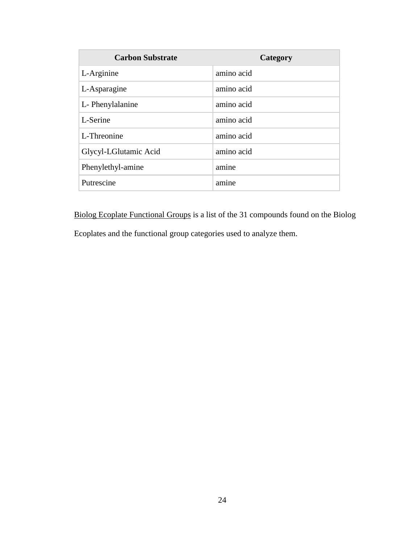| <b>Carbon Substrate</b> | Category   |
|-------------------------|------------|
| L-Arginine              | amino acid |
| L-Asparagine            | amino acid |
| L-Phenylalanine         | amino acid |
| L-Serine                | amino acid |
| L-Threonine             | amino acid |
| Glycyl-LGlutamic Acid   | amino acid |
| Phenylethyl-amine       | amine      |
| Putrescine              | amine      |

Biolog Ecoplate Functional Groups is a list of the 31 compounds found on the Biolog

Ecoplates and the functional group categories used to analyze them.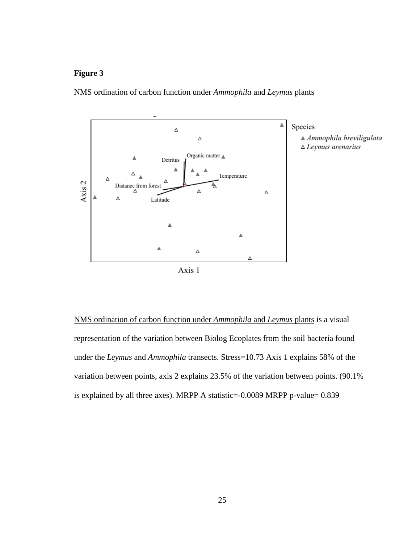



NMS ordination of carbon function under *Ammophila* and *Leymus* plants is a visual representation of the variation between Biolog Ecoplates from the soil bacteria found under the *Leymus* and *Ammophila* transects. Stress=10.73 Axis 1 explains 58% of the variation between points, axis 2 explains 23.5% of the variation between points. (90.1% is explained by all three axes). MRPP A statistic=-0.0089 MRPP p-value= 0.839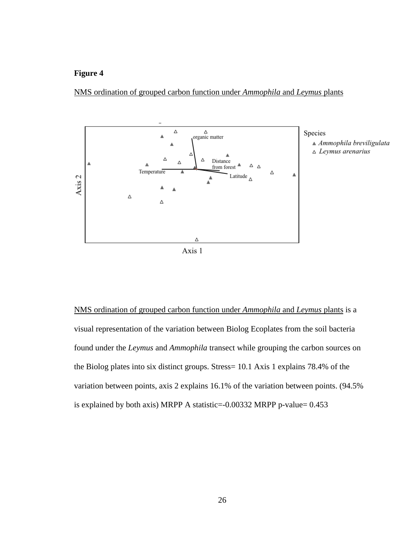



Species  $\triangle$  Ammophila breviligulata  $\triangle$  Leymus arenarius

NMS ordination of grouped carbon function under *Ammophila* and *Leymus* plants is a visual representation of the variation between Biolog Ecoplates from the soil bacteria found under the *Leymus* and *Ammophila* transect while grouping the carbon sources on the Biolog plates into six distinct groups. Stress= 10.1 Axis 1 explains 78.4% of the variation between points, axis 2 explains 16.1% of the variation between points. (94.5% is explained by both axis) MRPP A statistic=-0.00332 MRPP p-value= 0.453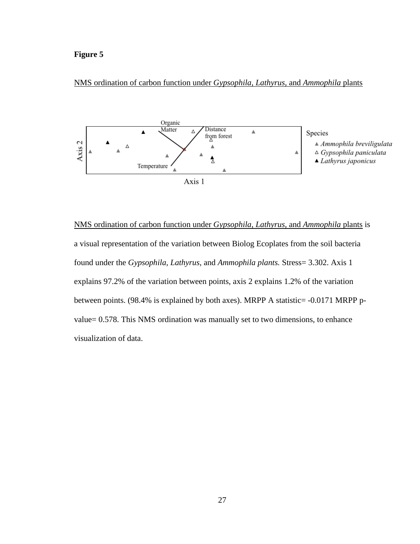#### NMS ordination of carbon function under *Gypsophila, Lathyrus,* and *Ammophila* plants



NMS ordination of carbon function under *Gypsophila, Lathyrus,* and *Ammophila* plants is a visual representation of the variation between Biolog Ecoplates from the soil bacteria found under the *Gypsophila, Lathyrus,* and *Ammophila plants.* Stress= 3.302. Axis 1 explains 97.2% of the variation between points, axis 2 explains 1.2% of the variation between points. (98.4% is explained by both axes). MRPP A statistic= -0.0171 MRPP pvalue= 0.578. This NMS ordination was manually set to two dimensions, to enhance visualization of data.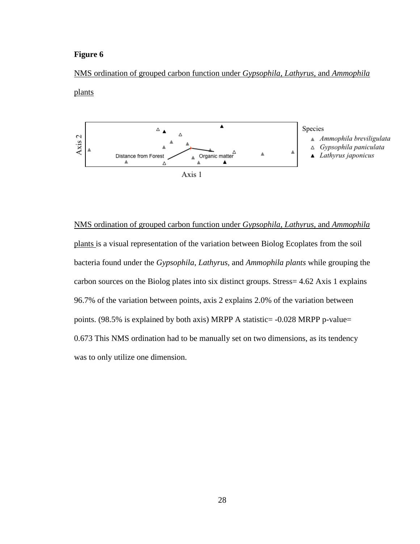#### NMS ordination of grouped carbon function under *Gypsophila, Lathyrus,* and *Ammophila*





NMS ordination of grouped carbon function under *Gypsophila, Lathyrus,* and *Ammophila* plants is a visual representation of the variation between Biolog Ecoplates from the soil bacteria found under the *Gypsophila, Lathyrus,* and *Ammophila plants* while grouping the carbon sources on the Biolog plates into six distinct groups. Stress= 4.62 Axis 1 explains 96.7% of the variation between points, axis 2 explains 2.0% of the variation between points. (98.5% is explained by both axis) MRPP A statistic= -0.028 MRPP p-value= 0.673 This NMS ordination had to be manually set on two dimensions, as its tendency was to only utilize one dimension.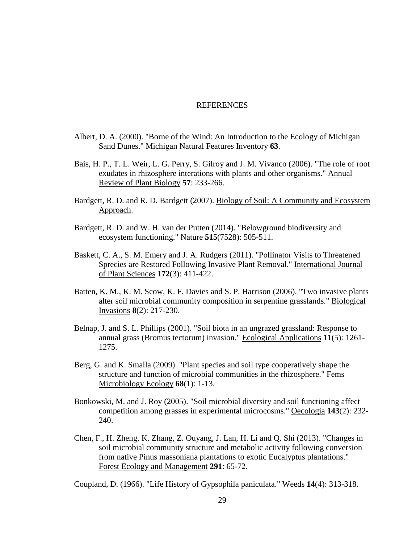#### **REFERENCES**

- Albert, D. A. (2000). "Borne of the Wind: An Introduction to the Ecology of Michigan Sand Dunes." Michigan Natural Features Inventory **63**.
- Bais, H. P., T. L. Weir, L. G. Perry, S. Gilroy and J. M. Vivanco (2006). "The role of root exudates in rhizosphere interations with plants and other organisms." Annual Review of Plant Biology **57**: 233-266.
- Bardgett, R. D. and R. D. Bardgett (2007). Biology of Soil: A Community and Ecosystem Approach.
- Bardgett, R. D. and W. H. van der Putten (2014). "Belowground biodiversity and ecosystem functioning." Nature **515**(7528): 505-511.
- Baskett, C. A., S. M. Emery and J. A. Rudgers (2011). "Pollinator Visits to Threatened Sprecies are Restored Following Invasive Plant Removal." International Journal of Plant Sciences **172**(3): 411-422.
- Batten, K. M., K. M. Scow, K. F. Davies and S. P. Harrison (2006). "Two invasive plants alter soil microbial community composition in serpentine grasslands." Biological Invasions **8**(2): 217-230.
- Belnap, J. and S. L. Phillips (2001). "Soil biota in an ungrazed grassland: Response to annual grass (Bromus tectorum) invasion." Ecological Applications **11**(5): 1261- 1275.
- Berg, G. and K. Smalla (2009). "Plant species and soil type cooperatively shape the structure and function of microbial communities in the rhizosphere." Fems Microbiology Ecology **68**(1): 1-13.
- Bonkowski, M. and J. Roy (2005). "Soil microbial diversity and soil functioning affect competition among grasses in experimental microcosms." Oecologia **143**(2): 232- 240.
- Chen, F., H. Zheng, K. Zhang, Z. Ouyang, J. Lan, H. Li and Q. Shi (2013). "Changes in soil microbial community structure and metabolic activity following conversion from native Pinus massoniana plantations to exotic Eucalyptus plantations." Forest Ecology and Management **291**: 65-72.

Coupland, D. (1966). "Life History of Gypsophila paniculata." Weeds **14**(4): 313-318.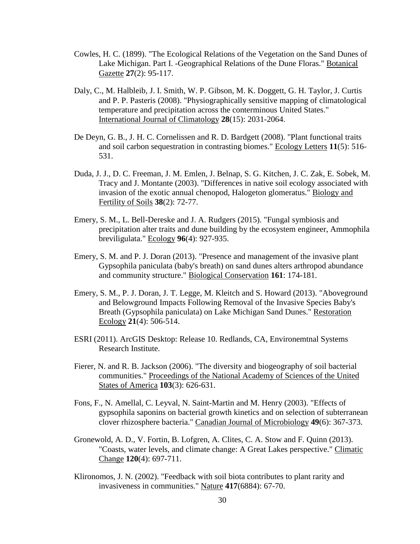- Cowles, H. C. (1899). "The Ecological Relations of the Vegetation on the Sand Dunes of Lake Michigan. Part I. -Geographical Relations of the Dune Floras." Botanical Gazette **27**(2): 95-117.
- Daly, C., M. Halbleib, J. I. Smith, W. P. Gibson, M. K. Doggett, G. H. Taylor, J. Curtis and P. P. Pasteris (2008). "Physiographically sensitive mapping of climatological temperature and precipitation across the conterminous United States." International Journal of Climatology **28**(15): 2031-2064.
- De Deyn, G. B., J. H. C. Cornelissen and R. D. Bardgett (2008). "Plant functional traits and soil carbon sequestration in contrasting biomes." Ecology Letters **11**(5): 516- 531.
- Duda, J. J., D. C. Freeman, J. M. Emlen, J. Belnap, S. G. Kitchen, J. C. Zak, E. Sobek, M. Tracy and J. Montante (2003). "Differences in native soil ecology associated with invasion of the exotic annual chenopod, Halogeton glomeratus." Biology and Fertility of Soils **38**(2): 72-77.
- Emery, S. M., L. Bell-Dereske and J. A. Rudgers (2015). "Fungal symbiosis and precipitation alter traits and dune building by the ecosystem engineer, Ammophila breviligulata." Ecology **96**(4): 927-935.
- Emery, S. M. and P. J. Doran (2013). "Presence and management of the invasive plant Gypsophila paniculata (baby's breath) on sand dunes alters arthropod abundance and community structure." Biological Conservation **161**: 174-181.
- Emery, S. M., P. J. Doran, J. T. Legge, M. Kleitch and S. Howard (2013). "Aboveground and Belowground Impacts Following Removal of the Invasive Species Baby's Breath (Gypsophila paniculata) on Lake Michigan Sand Dunes." Restoration Ecology **21**(4): 506-514.
- ESRI (2011). ArcGIS Desktop: Release 10. Redlands, CA, Environemtnal Systems Research Institute.
- Fierer, N. and R. B. Jackson (2006). "The diversity and biogeography of soil bacterial communities." Proceedings of the National Academy of Sciences of the United States of America **103**(3): 626-631.
- Fons, F., N. Amellal, C. Leyval, N. Saint-Martin and M. Henry (2003). "Effects of gypsophila saponins on bacterial growth kinetics and on selection of subterranean clover rhizosphere bacteria." Canadian Journal of Microbiology **49**(6): 367-373.
- Gronewold, A. D., V. Fortin, B. Lofgren, A. Clites, C. A. Stow and F. Quinn (2013). "Coasts, water levels, and climate change: A Great Lakes perspective." Climatic Change **120**(4): 697-711.
- Klironomos, J. N. (2002). "Feedback with soil biota contributes to plant rarity and invasiveness in communities." Nature **417**(6884): 67-70.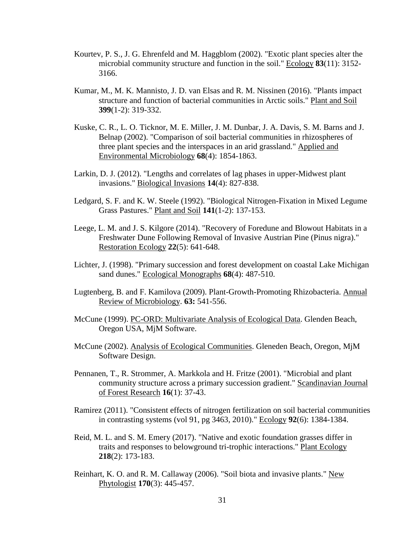- Kourtev, P. S., J. G. Ehrenfeld and M. Haggblom (2002). "Exotic plant species alter the microbial community structure and function in the soil." Ecology **83**(11): 3152- 3166.
- Kumar, M., M. K. Mannisto, J. D. van Elsas and R. M. Nissinen (2016). "Plants impact structure and function of bacterial communities in Arctic soils." Plant and Soil **399**(1-2): 319-332.
- Kuske, C. R., L. O. Ticknor, M. E. Miller, J. M. Dunbar, J. A. Davis, S. M. Barns and J. Belnap (2002). "Comparison of soil bacterial communities in rhizospheres of three plant species and the interspaces in an arid grassland." Applied and Environmental Microbiology **68**(4): 1854-1863.
- Larkin, D. J. (2012). "Lengths and correlates of lag phases in upper-Midwest plant invasions." Biological Invasions **14**(4): 827-838.
- Ledgard, S. F. and K. W. Steele (1992). "Biological Nitrogen-Fixation in Mixed Legume Grass Pastures." Plant and Soil **141**(1-2): 137-153.
- Leege, L. M. and J. S. Kilgore (2014). "Recovery of Foredune and Blowout Habitats in a Freshwater Dune Following Removal of Invasive Austrian Pine (Pinus nigra)." Restoration Ecology **22**(5): 641-648.
- Lichter, J. (1998). "Primary succession and forest development on coastal Lake Michigan sand dunes." Ecological Monographs **68**(4): 487-510.
- Lugtenberg, B. and F. Kamilova (2009). Plant-Growth-Promoting Rhizobacteria. Annual Review of Microbiology. **63:** 541-556.
- McCune (1999). PC-ORD: Multivariate Analysis of Ecological Data. Glenden Beach, Oregon USA, MjM Software.
- McCune (2002). Analysis of Ecological Communities. Gleneden Beach, Oregon, MjM Software Design.
- Pennanen, T., R. Strommer, A. Markkola and H. Fritze (2001). "Microbial and plant community structure across a primary succession gradient." Scandinavian Journal of Forest Research **16**(1): 37-43.
- Ramirez (2011). "Consistent effects of nitrogen fertilization on soil bacterial communities in contrasting systems (vol 91, pg 3463, 2010)." Ecology **92**(6): 1384-1384.
- Reid, M. L. and S. M. Emery (2017). "Native and exotic foundation grasses differ in traits and responses to belowground tri-trophic interactions." Plant Ecology **218**(2): 173-183.
- Reinhart, K. O. and R. M. Callaway (2006). "Soil biota and invasive plants." New Phytologist **170**(3): 445-457.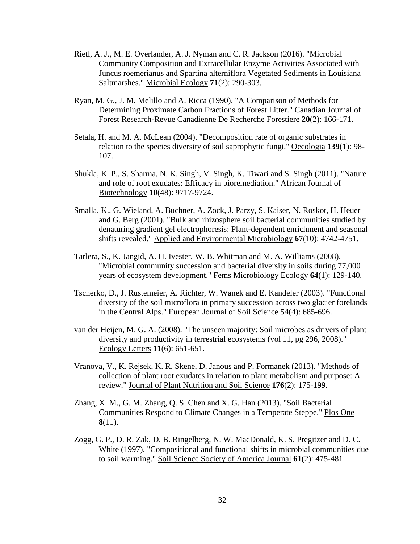- Rietl, A. J., M. E. Overlander, A. J. Nyman and C. R. Jackson (2016). "Microbial Community Composition and Extracellular Enzyme Activities Associated with Juncus roemerianus and Spartina alterniflora Vegetated Sediments in Louisiana Saltmarshes." Microbial Ecology **71**(2): 290-303.
- Ryan, M. G., J. M. Melillo and A. Ricca (1990). "A Comparison of Methods for Determining Proximate Carbon Fractions of Forest Litter." Canadian Journal of Forest Research-Revue Canadienne De Recherche Forestiere **20**(2): 166-171.
- Setala, H. and M. A. McLean (2004). "Decomposition rate of organic substrates in relation to the species diversity of soil saprophytic fungi." Oecologia **139**(1): 98- 107.
- Shukla, K. P., S. Sharma, N. K. Singh, V. Singh, K. Tiwari and S. Singh (2011). "Nature and role of root exudates: Efficacy in bioremediation." African Journal of Biotechnology **10**(48): 9717-9724.
- Smalla, K., G. Wieland, A. Buchner, A. Zock, J. Parzy, S. Kaiser, N. Roskot, H. Heuer and G. Berg (2001). "Bulk and rhizosphere soil bacterial communities studied by denaturing gradient gel electrophoresis: Plant-dependent enrichment and seasonal shifts revealed." Applied and Environmental Microbiology **67**(10): 4742-4751.
- Tarlera, S., K. Jangid, A. H. Ivester, W. B. Whitman and M. A. Williams (2008). "Microbial community succession and bacterial diversity in soils during 77,000 years of ecosystem development." Fems Microbiology Ecology **64**(1): 129-140.
- Tscherko, D., J. Rustemeier, A. Richter, W. Wanek and E. Kandeler (2003). "Functional diversity of the soil microflora in primary succession across two glacier forelands in the Central Alps." European Journal of Soil Science **54**(4): 685-696.
- van der Heijen, M. G. A. (2008). "The unseen majority: Soil microbes as drivers of plant diversity and productivity in terrestrial ecosystems (vol 11, pg 296, 2008)." Ecology Letters **11**(6): 651-651.
- Vranova, V., K. Rejsek, K. R. Skene, D. Janous and P. Formanek (2013). "Methods of collection of plant root exudates in relation to plant metabolism and purpose: A review." Journal of Plant Nutrition and Soil Science **176**(2): 175-199.
- Zhang, X. M., G. M. Zhang, Q. S. Chen and X. G. Han (2013). "Soil Bacterial Communities Respond to Climate Changes in a Temperate Steppe." Plos One **8**(11).
- Zogg, G. P., D. R. Zak, D. B. Ringelberg, N. W. MacDonald, K. S. Pregitzer and D. C. White (1997). "Compositional and functional shifts in microbial communities due to soil warming." Soil Science Society of America Journal **61**(2): 475-481.